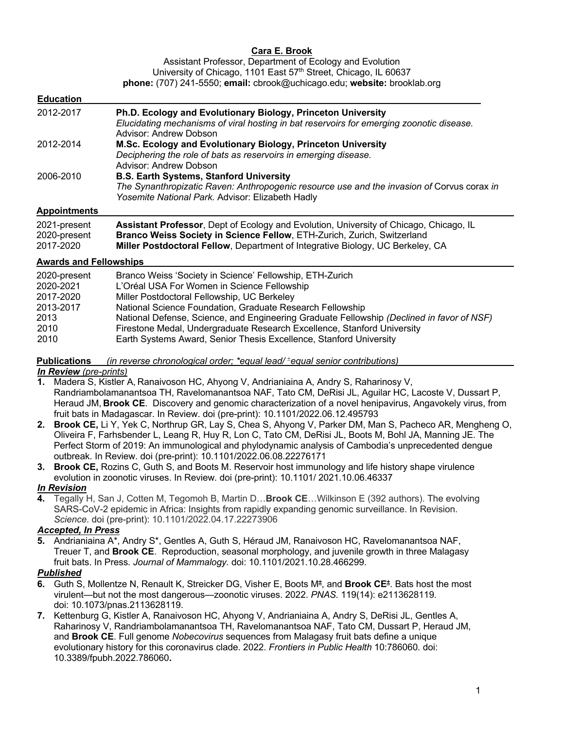# **Cara E. Brook**

Assistant Professor, Department of Ecology and Evolution University of Chicago, 1101 East 57<sup>th</sup> Street, Chicago, IL 60637 **phone:** (707) 241-5550; **email:** cbrook@uchicago.edu; **website:** brooklab.org

| <b>Education</b>    |                                                                                                                                                                                                  |
|---------------------|--------------------------------------------------------------------------------------------------------------------------------------------------------------------------------------------------|
| 2012-2017           | Ph.D. Ecology and Evolutionary Biology, Princeton University<br>Elucidating mechanisms of viral hosting in bat reservoirs for emerging zoonotic disease.<br>Advisor: Andrew Dobson               |
| 2012-2014           | M.Sc. Ecology and Evolutionary Biology, Princeton University<br>Deciphering the role of bats as reservoirs in emerging disease.<br>Advisor: Andrew Dobson                                        |
| 2006-2010           | <b>B.S. Earth Systems, Stanford University</b><br>The Synanthropizatic Raven: Anthropogenic resource use and the invasion of Corvus corax in<br>Yosemite National Park. Advisor: Elizabeth Hadly |
| <b>Appointments</b> |                                                                                                                                                                                                  |
| 2021-present        | Assistant Professor, Dept of Ecology and Evolution, University of Chicago, Chicago, IL                                                                                                           |

2020-present **Branco Weiss Society in Science Fellow**, ETH-Zurich, Zurich, Switzerland

2017-2020 **Miller Postdoctoral Fellow**, Department of Integrative Biology, UC Berkeley, CA

## **Awards and Fellowships**

| 2020-present | Branco Weiss 'Society in Science' Fellowship, ETH-Zurich                                  |
|--------------|-------------------------------------------------------------------------------------------|
| 2020-2021    | L'Oréal USA For Women in Science Fellowship                                               |
| 2017-2020    | Miller Postdoctoral Fellowship, UC Berkeley                                               |
| 2013-2017    | National Science Foundation, Graduate Research Fellowship                                 |
| 2013         | National Defense, Science, and Engineering Graduate Fellowship (Declined in favor of NSF) |
| 2010         | Firestone Medal, Undergraduate Research Excellence, Stanford University                   |
| 2010         | Earth Systems Award, Senior Thesis Excellence, Stanford University                        |

**Publications\_\_\_***(in reverse chronological order; \*equal lead/* <sup>±</sup> *equal senior contributions) In Review (pre-prints)*

**1.** Madera S, Kistler A, Ranaivoson HC, Ahyong V, Andrianiaina A, Andry S, Raharinosy V, Randriambolamanantsoa TH, Ravelomanantsoa NAF, Tato CM, DeRisi JL, Aguilar HC, Lacoste V, Dussart P, Heraud JM, **Brook CE**. Discovery and genomic characterization of a novel henipavirus, Angavokely virus, from fruit bats in Madagascar. In Review. doi (pre-print): 10.1101/2022.06.12.495793

- **2. Brook CE,** Li Y, Yek C, Northrup GR, Lay S, Chea S, Ahyong V, Parker DM, Man S, Pacheco AR, Mengheng O, Oliveira F, Farhsbender L, Leang R, Huy R, Lon C, Tato CM, DeRisi JL, Boots M, Bohl JA, Manning JE. The Perfect Storm of 2019: An immunological and phylodynamic analysis of Cambodia's unprecedented dengue outbreak. In Review. doi (pre-print): 10.1101/2022.06.08.22276171
- **3. Brook CE,** Rozins C, Guth S, and Boots M. Reservoir host immunology and life history shape virulence evolution in zoonotic viruses. In Review*.* doi (pre-print): 10.1101/ 2021.10.06.46337

*In Revision*

**4.** Tegally H, San J, Cotten M, Tegomoh B, Martin D…**Brook CE**…Wilkinson E (392 authors). The evolving SARS-CoV-2 epidemic in Africa: Insights from rapidly expanding genomic surveillance. In Revision. *Science*. doi (pre-print): 10.1101/2022.04.17.22273906

# *Accepted, In Press*

**5.** Andrianiaina A\*, Andry S\*, Gentles A, Guth S, Héraud JM, Ranaivoson HC, Ravelomanantsoa NAF, Treuer T, and **Brook CE**. Reproduction, seasonal morphology, and juvenile growth in three Malagasy fruit bats. In Press*. Journal of Mammalogy.* doi: 10.1101/2021.10.28.466299.

## *Published*

- **6.** Guth S, Mollentze N, Renault K, Streicker DG, Visher E, Boots M<sup>±</sup> , and **Brook CE**<sup>±</sup> . Bats host the most virulent—but not the most dangerous—zoonotic viruses. 2022. *PNAS.* 119(14): e2113628119*.*  doi: 10.1073/pnas.2113628119.
- **7.** Kettenburg G, Kistler A, Ranaivoson HC, Ahyong V, Andrianiaina A, Andry S, DeRisi JL, Gentles A, Raharinosy V, Randriambolamanantsoa TH, Ravelomanantsoa NAF, Tato CM, Dussart P, Heraud JM, and **Brook CE**. Full genome *Nobecovirus* sequences from Malagasy fruit bats define a unique evolutionary history for this coronavirus clade. 2022. *Frontiers in Public Health* 10:786060*.* doi: 10.3389/fpubh.2022.786060**.**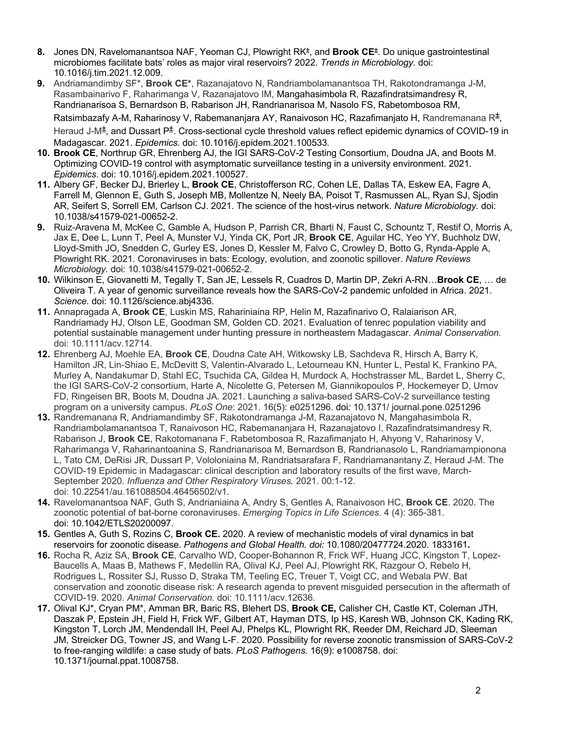- 8. Jones DN, Ravelomanantsoa NAF, Yeoman CJ, Plowright RK<sup>±</sup>, and **Brook CE**<sup>±</sup>. Do unique gastrointestinal microbiomes facilitate bats' roles as major viral reservoirs? 2022. *Trends in Microbiology.* doi: 10.1016/j.tim.2021.12.009.
- **9.** Andriamandimby SF\*, **Brook CE\***, Razanajatovo N, Randriambolamanantsoa TH, Rakotondramanga J-M, Rasambainarivo F, Raharimanga V, Razanajatovo IM, Mangahasimbola R, Razafindratsimandresy R, Randrianarisoa S, Bernardson B, Rabarison JH, Randrianarisoa M, Nasolo FS, Rabetombosoa RM,

Ratsimbazafy A-M, Raharinosy V, Rabemananjara AY, Ranaivoson HC, Razafimanjato H, Randremanana R<sup>±</sup>,

Heraud J-M<sup>±</sup>, and Dussart P<sup>±</sup>. Cross-sectional cycle threshold values reflect epidemic dynamics of COVID-19 in Madagascar. 2021. *Epidemics.* doi: 10.1016/j.epidem.2021.100533*.*

- **10. Brook CE**, Northrup GR, Ehrenberg AJ, the IGI SARS-CoV-2 Testing Consortium, Doudna JA, and Boots M. Optimizing COVID-19 control with asymptomatic surveillance testing in a university environment. 2021*. Epidemics*. doi: 10.1016/j.epidem.2021.100527.
- **11.** Albery GF, Becker DJ, Brierley L, **Brook CE**, Christofferson RC, Cohen LE, Dallas TA, Eskew EA, Fagre A, Farrell M, Glennon E, Guth S, Joseph MB, Mollentze N, Neely BA, Poisot T, Rasmussen AL, Ryan SJ, Sjodin AR, Seifert S, Sorrell EM, Carlson CJ. 2021. The science of the host-virus network. *Nature Microbiology.* doi: 10.1038/s41579-021-00652-2.
- **9.** Ruiz-Aravena M, McKee C, Gamble A, Hudson P, Parrish CR, Bharti N, Faust C, Schountz T, Restif O, Morris A, Jax E, Dee L, Lunn T, Peel A, Munster VJ, Yinda CK, Port JR, **Brook CE**, Aguilar HC, Yeo YY, Buchholz DW, Lloyd-Smith JO, Snedden C, Gurley ES, Jones D, Kessler M, Falvo C, Crowley D, Botto G, Rynda-Apple A, Plowright RK. 2021. Coronaviruses in bats: Ecology, evolution, and zoonotic spillover. *Nature Reviews Microbiology.* doi: 10.1038/s41579-021-00652-2.
- **10.** Wilkinson E, Giovanetti M, Tegally T, San JE, Lessels R, Cuadros D, Martin DP, Zekri A-RN…**Brook CE**, … de Oliveira T. A year of genomic surveillance reveals how the SARS-CoV-2 pandemic unfolded in Africa. 2021. *Science.* doi: 10.1126/science.abj4336.
- **11.** Annapragada A, **Brook CE**, Luskin MS, Rahariniaina RP, Helin M, Razafinarivo O, Ralaiarison AR, Randriamady HJ, Olson LE, Goodman SM, Golden CD. 2021. Evaluation of tenrec population viability and potential sustainable management under hunting pressure in northeastern Madagascar. *Animal Conservation.*  doi: 10.1111/acv.12714.
- **12.** Ehrenberg AJ, Moehle EA, **Brook CE**, Doudna Cate AH, Witkowsky LB, Sachdeva R, Hirsch A, Barry K, Hamilton JR, Lin-Shiao E, McDevitt S, Valentin-Alvarado L, Letourneau KN, Hunter L, Pestal K, Frankino PA, Murley A, Nandakumar D, Stahl EC, Tsuchida CA, Gildea H, Murdock A, Hochstrasser ML, Bardet L, Sherry C, the IGI SARS-CoV-2 consortium, Harte A, Nicolette G, Petersen M, Giannikopoulos P, Hockemeyer D, Urnov FD, Ringeisen BR, Boots M, Doudna JA. 2021. Launching a saliva-based SARS-CoV-2 surveillance testing program on a university campus. *PLoS One*: 2021. 16(5): e0251296. doi*:* 10.1371/ journal.pone.0251296
- **13.** Randremanana R, Andriamandimby SF, Rakotondramanga J-M, Razanajatovo N, Mangahasimbola R, Randriambolamanantsoa T, Ranaivoson HC, Rabemananjara H, Razanajatovo I, Razafindratsimandresy R, Rabarison J, **Brook CE**, Rakotomanana F, Rabetombosoa R, Razafimanjato H, Ahyong V, Raharinosy V, Raharimanga V, Raharinantoanina S, Randrianarisoa M, Bernardson B, Randrianasolo L, Randriamampionona L, Tato CM, DeRisi JR, Dussart P, Vololoniaina M, Randriatsarafara F, Randriamanantany Z, Heraud J-M. The COVID-19 Epidemic in Madagascar: clinical description and laboratory results of the first wave, March-September 2020. *Influenza and Other Respiratory Viruses.* 2021. 00:1-12. doi: 10.22541/au.161088504.46456502/v1.
- **14.** Ravelomanantsoa NAF, Guth S, Andrianiaina A, Andry S, Gentles A, Ranaivoson HC, **Brook CE**. 2020. The zoonotic potential of bat-borne coronaviruses. *Emerging Topics in Life Sciences.* 4 (4): 365-381. doi: 10.1042/ETLS20200097.
- **15.** Gentles A, Guth S, Rozins C, **Brook CE.** 2020. A review of mechanistic models of viral dynamics in bat reservoirs for zoonotic disease. *Pathogens and Global Health. doi:* 10.1080/20477724.2020. 1833161**.**
- **16.** Rocha R, Aziz SA, **Brook CE**, Carvalho WD, Cooper-Bohannon R, Frick WF, Huang JCC, Kingston T, Lopez-Baucells A, Maas B, Mathews F, Medellin RA, Olival KJ, Peel AJ, Plowright RK, Razgour O, Rebelo H, Rodrigues L, Rossiter SJ, Russo D, Straka TM, Teeling EC, Treuer T, Voigt CC, and Webala PW. Bat conservation and zoonotic disease risk: A research agenda to prevent misguided persecution in the aftermath of COVID-19. 2020. *Animal Conservation.* doi: 10.1111/acv.12636.
- **17.** Olival KJ\*, Cryan PM\*, Amman BR, Baric RS, Blehert DS, **Brook CE,** Calisher CH, Castle KT, Coleman JTH, Daszak P, Epstein JH, Field H, Frick WF, Gilbert AT, Hayman DTS, Ip HS, Karesh WB, Johnson CK, Kading RK, Kingston T, Lorch JM, Mendendall IH, Peel AJ, Phelps KL, Plowright RK, Reeder DM, Reichard JD, Sleeman JM, Streicker DG, Towner JS, and Wang L-F. 2020. Possibility for reverse zoonotic transmission of SARS-CoV-2 to free-ranging wildlife: a case study of bats. *PLoS Pathogens.* 16(9): e1008758. doi: 10.1371/journal.ppat.1008758.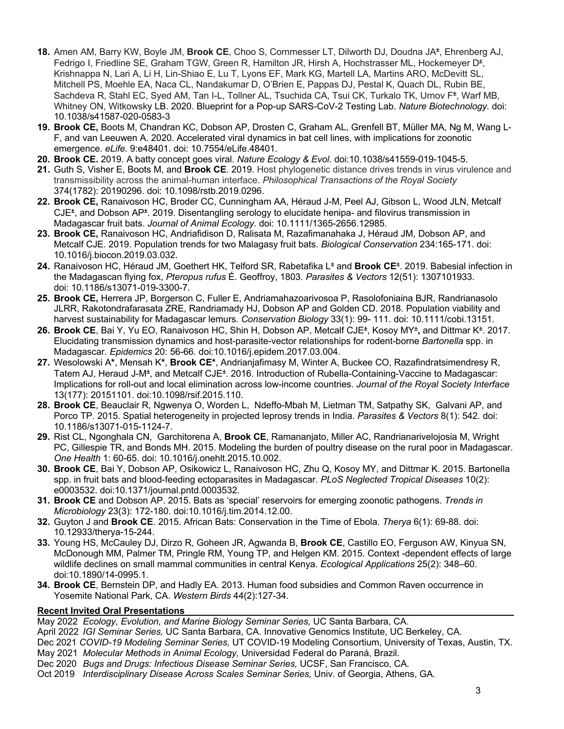- **18.** Amen AM, Barry KW, Boyle JM, **Brook CE**, Choo S, Cornmesser LT, Dilworth DJ, Doudna JA<sup>±</sup> , Ehrenberg AJ, Fedrigo I, Friedline SE, Graham TGW, Green R, Hamilton JR, Hirsh A, Hochstrasser ML, Hockemeyer D<sup>±</sup>, Krishnappa N, Lari A, Li H, Lin-Shiao E, Lu T, Lyons EF, Mark KG, Martell LA, Martins ARO, McDevitt SL, Mitchell PS, Moehle EA, Naca CL, Nandakumar D, O'Brien E, Pappas DJ, Pestal K, Quach DL, Rubin BE, Sachdeva R, Stahl EC, Syed AM, Tan I-L, Tollner AL, Tsuchida CA, Tsui CK, Turkalo TK, Urnov F<sup>±</sup>, Warf MB, Whitney ON, Witkowsky LB. 2020. Blueprint for a Pop-up SARS-CoV-2 Testing Lab. *Nature Biotechnology.* doi: 10.1038/s41587-020-0583-3
- **19. Brook CE,** Boots M, Chandran KC, Dobson AP, Drosten C, Graham AL, Grenfell BT, Müller MA, Ng M, Wang L-F, and van Leeuwen A. 2020. Accelerated viral dynamics in bat cell lines, with implications for zoonotic emergence. *eLife.* 9:e48401. doi: 10.7554/eLife.48401.
- **20. Brook CE.** 2019. A batty concept goes viral. *Nature Ecology & Evol.* doi:10.1038/s41559-019-1045-5.
- **21.** Guth S, Visher E, Boots M, and **Brook CE**. 2019. Host phylogenetic distance drives trends in virus virulence and transmissibility across the animal-human interface. *Philosophical Transactions of the Royal Society* 374(1782): 20190296. doi: 10.1098/rstb.2019.0296.
- **22. Brook CE,** Ranaivoson HC, Broder CC, Cunningham AA, Héraud J-M, Peel AJ, Gibson L, Wood JLN, Metcalf CJE<sup>±</sup>, and Dobson AP<sup>±</sup>. 2019. Disentangling serology to elucidate henipa- and filovirus transmission in Madagascar fruit bats. *Journal of Animal Ecology.* doi: 10.1111/1365-2656.12985.
- **23. Brook CE,** Ranaivoson HC, Andriafidison D, Ralisata M, Razafimanahaka J, Héraud JM, Dobson AP, and Metcalf CJE. 2019. Population trends for two Malagasy fruit bats. *Biological Conservation* 234:165-171. doi: 10.1016/j.biocon.2019.03.032.
- **24.** Ranaivoson HC, Héraud JM, Goethert HK, Telford SR, Rabetafika L<sup>±</sup> and **Brook CE**<sup>±</sup> . 2019. Babesial infection in the Madagascan flying fox, *Pteropus rufus* É. Geoffroy, 1803*. Parasites & Vectors* 12(51): 1307101933. doi: 10.1186/s13071-019-3300-7.
- **25. Brook CE,** Herrera JP, Borgerson C, Fuller E, Andriamahazoarivosoa P, Rasolofoniaina BJR, Randrianasolo JLRR, Rakotondrafarasata ZRE, Randriamady HJ, Dobson AP and Golden CD. 2018. Population viability and harvest sustainability for Madagascar lemurs*. Conservation Biology* 33(1): 99- 111. doi: 10.1111/cobi.13151.
- 26. Brook CE, Bai Y, Yu EO, Ranaivoson HC, Shin H, Dobson AP, Metcalf CJE<sup>±</sup>, Kosoy MY<sup>±</sup>, and Dittmar K<sup>±</sup>. 2017. Elucidating transmission dynamics and host-parasite-vector relationships for rodent-borne *Bartonella* spp. in Madagascar. *Epidemics* 20: 56-66*.* doi:10.1016/j.epidem.2017.03.004.
- **27.** Wesolowski A**\***, Mensah K**\***, **Brook CE\***, Andrianjafimasy M, Winter A, Buckee CO, Razafindratsimendresy R, Tatem AJ, Heraud J-M<sup>±</sup>, and Metcalf CJE<sup>±</sup>. 2016. Introduction of Rubella-Containing-Vaccine to Madagascar: Implications for roll-out and local elimination across low-income countries. *Journal of the Royal Society Interface* 13(177): 20151101. doi:10.1098/rsif.2015.110.
- **28. Brook CE**, Beauclair R, Ngwenya O, Worden L, Ndeffo-Mbah M, Lietman TM, Satpathy SK, Galvani AP, and Porco TP. 2015. Spatial heterogeneity in projected leprosy trends in India. *Parasites & Vectors* 8(1): 542. doi: 10.1186/s13071-015-1124-7.
- **29.** Rist CL, Ngonghala CN, Garchitorena A, **Brook CE**, Ramananjato, Miller AC, Randrianarivelojosia M, Wright PC, Gillespie TR, and Bonds MH. 2015. Modeling the burden of poultry disease on the rural poor in Madagascar. *One Health* 1: 60-65. doi: 10.1016/j.onehlt.2015.10.002.
- **30. Brook CE**, Bai Y, Dobson AP, Osikowicz L, Ranaivoson HC, Zhu Q, Kosoy MY, and Dittmar K. 2015. Bartonella spp. in fruit bats and blood-feeding ectoparasites in Madagascar. *PLoS Neglected Tropical Diseases* 10(2): e0003532. doi:10.1371/journal.pntd.0003532.
- **31. Brook CE** and Dobson AP. 2015. Bats as 'special' reservoirs for emerging zoonotic pathogens. *Trends in Microbiology* 23(3): 172-180. doi:10.1016/j.tim.2014.12.00.
- **32.** Guyton J and **Brook CE**. 2015. African Bats: Conservation in the Time of Ebola. *Therya* 6(1): 69-88. doi: 10.12933/therya-15-244.
- **33.** Young HS, McCauley DJ, Dirzo R, Goheen JR, Agwanda B, **Brook CE**, Castillo EO, Ferguson AW, Kinyua SN, McDonough MM, Palmer TM, Pringle RM, Young TP, and Helgen KM. 2015. Context -dependent effects of large wildlife declines on small mammal communities in central Kenya. *Ecological Applications* 25(2): 348–60. doi:10.1890/14-0995.1.
- **34. Brook CE**, Bernstein DP, and Hadly EA. 2013. Human food subsidies and Common Raven occurrence in Yosemite National Park, CA. *Western Birds* 44(2):127-34.

### **Recent Invited Oral Presentations\_\_\_\_\_\_\_\_\_\_\_\_**

May 2022 *Ecology, Evolution, and Marine Biology Seminar Series,* UC Santa Barbara, CA.

April 2022 *IGI Seminar Series,* UC Santa Barbara, CA. Innovative Genomics Institute, UC Berkeley, CA.

Dec 2021 *COVID-19 Modeling Seminar Series,* UT COVID-19 Modeling Consortium, University of Texas, Austin, TX. May 2021 *Molecular Methods in Animal Ecology,* Universidad Federal do Paraná, Brazil*.* 

Dec 2020 *Bugs and Drugs: Infectious Disease Seminar Series,* UCSF, San Francisco, CA*.* 

Oct 2019 *Interdisciplinary Disease Across Scales Seminar Series,* Univ. of Georgia, Athens, GA*.*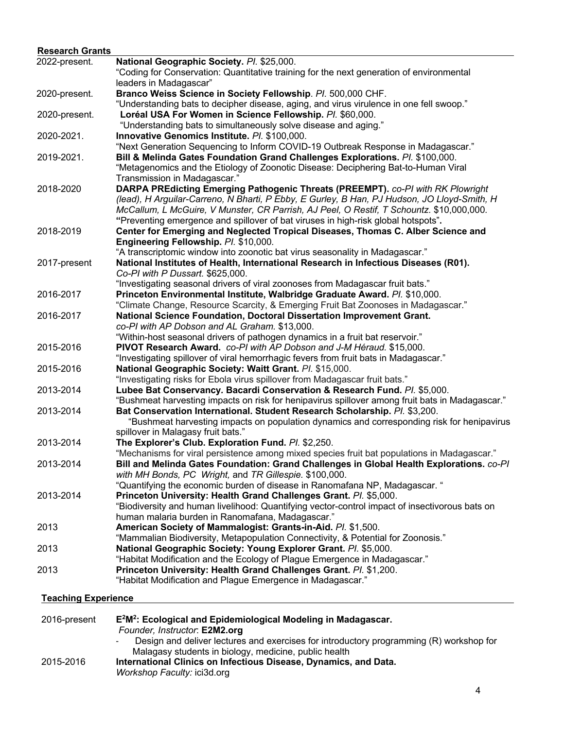| <b>Research Grants</b>     |                                                                                                                                                                     |
|----------------------------|---------------------------------------------------------------------------------------------------------------------------------------------------------------------|
| 2022-present.              | National Geographic Society. Pl. \$25,000.                                                                                                                          |
|                            | "Coding for Conservation: Quantitative training for the next generation of environmental                                                                            |
|                            | leaders in Madagascar"                                                                                                                                              |
| 2020-present.              | Branco Weiss Science in Society Fellowship. Pl. 500,000 CHF.                                                                                                        |
|                            | "Understanding bats to decipher disease, aging, and virus virulence in one fell swoop."                                                                             |
| 2020-present.              | Loréal USA For Women in Science Fellowship. Pl. \$60,000.                                                                                                           |
|                            | "Understanding bats to simultaneously solve disease and aging."                                                                                                     |
| 2020-2021.                 | Innovative Genomics Institute. Pl. \$100,000.                                                                                                                       |
|                            | "Next Generation Sequencing to Inform COVID-19 Outbreak Response in Madagascar."                                                                                    |
| 2019-2021.                 | Bill & Melinda Gates Foundation Grand Challenges Explorations. Pl. \$100,000.                                                                                       |
|                            | "Metagenomics and the Etiology of Zoonotic Disease: Deciphering Bat-to-Human Viral                                                                                  |
|                            | Transmission in Madagascar."                                                                                                                                        |
| 2018-2020                  | DARPA PREdicting Emerging Pathogenic Threats (PREEMPT). co-PI with RK Plowright                                                                                     |
|                            | (lead), H Arguilar-Carreno, N Bharti, P Ebby, E Gurley, B Han, PJ Hudson, JO Lloyd-Smith, H                                                                         |
|                            | McCallum, L McGuire, V Munster, CR Parrish, AJ Peel, O Restif, T Schountz. \$10,000,000.                                                                            |
|                            | "Preventing emergence and spillover of bat viruses in high-risk global hotspots".                                                                                   |
| 2018-2019                  | Center for Emerging and Neglected Tropical Diseases, Thomas C. Alber Science and<br>Engineering Fellowship. Pl. \$10,000.                                           |
|                            | "A transcriptomic window into zoonotic bat virus seasonality in Madagascar."                                                                                        |
| 2017-present               | National Institutes of Health, International Research in Infectious Diseases (R01).                                                                                 |
|                            | Co-PI with P Dussart. \$625,000.                                                                                                                                    |
|                            | "Investigating seasonal drivers of viral zoonoses from Madagascar fruit bats."                                                                                      |
| 2016-2017                  | Princeton Environmental Institute, Walbridge Graduate Award. Pl. \$10,000.                                                                                          |
|                            | "Climate Change, Resource Scarcity, & Emerging Fruit Bat Zoonoses in Madagascar."                                                                                   |
| 2016-2017                  | National Science Foundation, Doctoral Dissertation Improvement Grant.                                                                                               |
|                            | co-PI with AP Dobson and AL Graham. \$13,000.                                                                                                                       |
|                            | "Within-host seasonal drivers of pathogen dynamics in a fruit bat reservoir."                                                                                       |
| 2015-2016                  | PIVOT Research Award. co-PI with AP Dobson and J-M Héraud. \$15,000.                                                                                                |
|                            | "Investigating spillover of viral hemorrhagic fevers from fruit bats in Madagascar."                                                                                |
| 2015-2016                  | National Geographic Society: Waitt Grant. Pl. \$15,000.                                                                                                             |
|                            | "Investigating risks for Ebola virus spillover from Madagascar fruit bats."                                                                                         |
| 2013-2014                  | Lubee Bat Conservancy. Bacardi Conservation & Research Fund. Pl. \$5,000.                                                                                           |
|                            | "Bushmeat harvesting impacts on risk for henipavirus spillover among fruit bats in Madagascar."                                                                     |
| 2013-2014                  | Bat Conservation International. Student Research Scholarship. Pl. \$3,200.                                                                                          |
|                            | "Bushmeat harvesting impacts on population dynamics and corresponding risk for henipavirus                                                                          |
|                            | spillover in Malagasy fruit bats."                                                                                                                                  |
| 2013-2014                  | The Explorer's Club. Exploration Fund. Pl. \$2,250.                                                                                                                 |
|                            | "Mechanisms for viral persistence among mixed species fruit bat populations in Madagascar."                                                                         |
| 2013-2014                  | Bill and Melinda Gates Foundation: Grand Challenges in Global Health Explorations. co-Pl                                                                            |
|                            | with MH Bonds, PC Wright, and TR Gillespie. \$100,000.                                                                                                              |
|                            | "Quantifying the economic burden of disease in Ranomafana NP, Madagascar. "                                                                                         |
| 2013-2014                  | Princeton University: Health Grand Challenges Grant. Pl. \$5,000.<br>"Biodiversity and human livelihood: Quantifying vector-control impact of insectivorous bats on |
|                            | human malaria burden in Ranomafana, Madagascar."                                                                                                                    |
| 2013                       | American Society of Mammalogist: Grants-in-Aid. Pl. \$1,500.                                                                                                        |
|                            | "Mammalian Biodiversity, Metapopulation Connectivity, & Potential for Zoonosis."                                                                                    |
| 2013                       | National Geographic Society: Young Explorer Grant. Pl. \$5,000.                                                                                                     |
|                            | "Habitat Modification and the Ecology of Plague Emergence in Madagascar."                                                                                           |
| 2013                       | Princeton University: Health Grand Challenges Grant. Pl. \$1,200.                                                                                                   |
|                            | "Habitat Modification and Plague Emergence in Madagascar."                                                                                                          |
| <b>Teaching Experience</b> |                                                                                                                                                                     |
|                            |                                                                                                                                                                     |
| 2016-present               | E <sup>2</sup> M <sup>2</sup> : Ecological and Epidemiological Modeling in Madagascar.                                                                              |
|                            | Founder, Instructor: E2M2.org                                                                                                                                       |
|                            | Design and deliver lectures and exercises for introductory programming (R) workshop for                                                                             |
|                            | Malagasy students in biology, medicine, public health                                                                                                               |

2015-2016 **International Clinics on Infectious Disease, Dynamics, and Data.** *Workshop Faculty:* ici3d.org